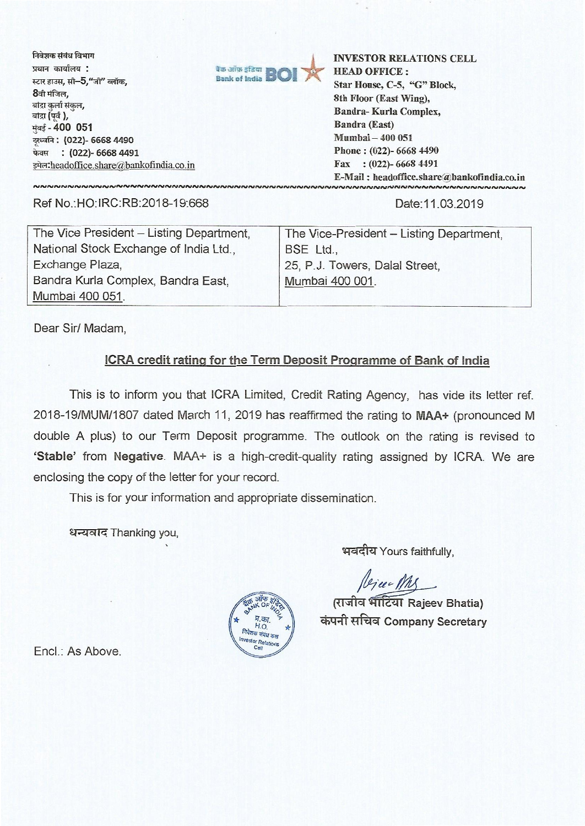निवेशक संबंध विभाग प्रधान कार्यालय : स्टार हाउस, सी**-5,"**जी"<br>**8**वी मंजिल,<br>चक्र ---ई दंख्य बांद्रा कर्ला संकल, बांद्रा (पर्व), 1:1-4- **400 051 75z& . (022)- 6668 4490 फेक्स : (022)- 6668 4491** इमेल: headoffice.share@bankofindia.co.in



**INVESTOR RELATIONS CELL HEAD OFFICE : Star House, C-5, "G" Block, 8th Floor (East Wing), Bandra- Kurla Complex, Bandra (East) Mumbai — 400 051 Phone : (022)- 6668 4490 Fax : (022)- 6668 4491 E-Mail : headoffice.share'a;bankofindia.co.in**

Ref No.:HO: IRC:RB:2018-19:668 Date:11.03.2019

| The Vice President - Listing Department, | The Vice-President - Listing Department, |
|------------------------------------------|------------------------------------------|
| National Stock Exchange of India Ltd.,   | BSE Ltd.,                                |
| Exchange Plaza,                          | 25, P.J. Towers, Dalal Street,           |
| Bandra Kurla Complex, Bandra East,       | Mumbai 400 001.                          |
| Mumbai 400 051.                          |                                          |

Dear Sir/ Madam,

## **ICRA credit rating for the Term Deposit Programme of Bank of India**

This is to inform you that ICRA Limited, Credit Rating Agency, has vide its letter ref. 2018-19/MUM/1807 dated March 11, 2019 has reaffirmed the rating to **MAA+** (pronounced M double A plus) to our Term Deposit programme. The outlook on the rating is revised to **`Stable'** from **Negative.** MAA+ is a high-credit-quality rating assigned by ICRA. We are enclosing the copy of the letter for your record.

This is for your information and appropriate dissemination.

धन्यवाद Thanking you,

**virdttf**Yours faithfully,

*(G) u My*<br>(राजीव भाटिया Rajeev Bhatia) **014411:A7 Company Secretary** 



Encl.: As Above.